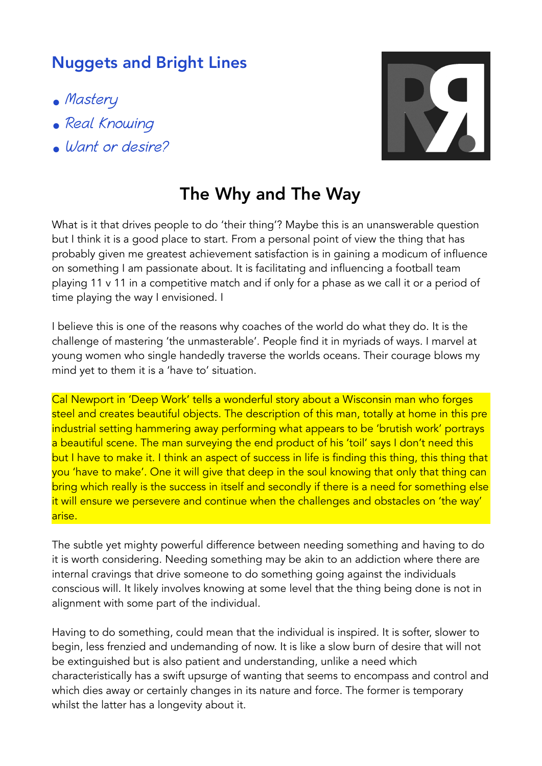## Nuggets and Bright Lines

- Mastery
- Real Knowing
- Want or desire?



## The Why and The Way

What is it that drives people to do 'their thing'? Maybe this is an unanswerable question but I think it is a good place to start. From a personal point of view the thing that has probably given me greatest achievement satisfaction is in gaining a modicum of influence on something I am passionate about. It is facilitating and influencing a football team playing 11 v 11 in a competitive match and if only for a phase as we call it or a period of time playing the way I envisioned. I

I believe this is one of the reasons why coaches of the world do what they do. It is the challenge of mastering 'the unmasterable'. People find it in myriads of ways. I marvel at young women who single handedly traverse the worlds oceans. Their courage blows my mind yet to them it is a 'have to' situation.

Cal Newport in 'Deep Work' tells a wonderful story about a Wisconsin man who forges steel and creates beautiful objects. The description of this man, totally at home in this pre industrial setting hammering away performing what appears to be 'brutish work' portrays a beautiful scene. The man surveying the end product of his 'toil' says I don't need this but I have to make it. I think an aspect of success in life is finding this thing, this thing that you 'have to make'. One it will give that deep in the soul knowing that only that thing can bring which really is the success in itself and secondly if there is a need for something else it will ensure we persevere and continue when the challenges and obstacles on 'the way' arise.

The subtle yet mighty powerful difference between needing something and having to do it is worth considering. Needing something may be akin to an addiction where there are internal cravings that drive someone to do something going against the individuals conscious will. It likely involves knowing at some level that the thing being done is not in alignment with some part of the individual.

Having to do something, could mean that the individual is inspired. It is softer, slower to begin, less frenzied and undemanding of now. It is like a slow burn of desire that will not be extinguished but is also patient and understanding, unlike a need which characteristically has a swift upsurge of wanting that seems to encompass and control and which dies away or certainly changes in its nature and force. The former is temporary whilst the latter has a longevity about it.